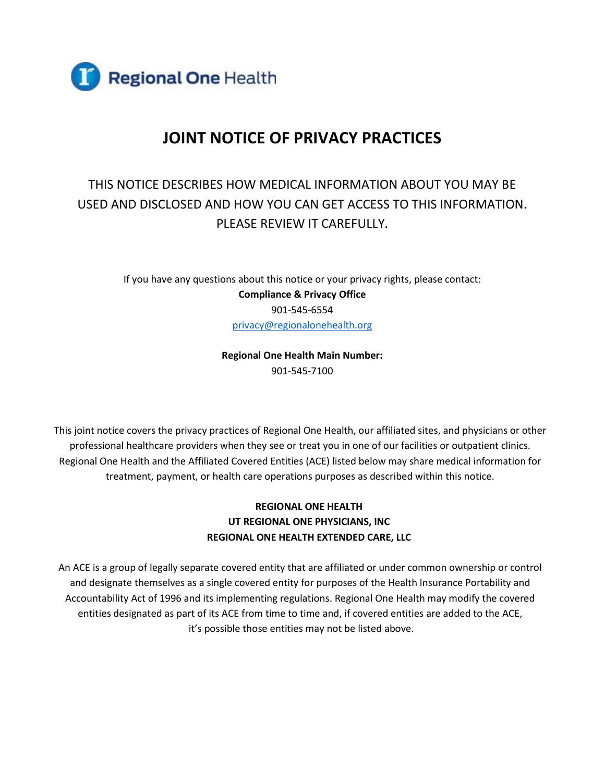

# **JOINT NOTICE OF PRIVACY PRACTICES**

## THIS NOTICE DESCRIBES HOW MEDICAL INFORMATION ABOUT YOU MAY BE USED AND DISCLOSED AND HOW YOU CAN GET ACCESS TO THIS INFORMATION. PLEASE REVIEW IT CAREFULLY.

If you have any questions about this notice or your privacy rights, please contact: **Compliance & Privacy Office** 901-545-6554 [privacy@regionalonehealth.org](mailto:privacy@regionalonehealth.org)

> **Regional One Health Main Number:** 901-545-7100

This joint notice covers the privacy practices of Regional One Health, our affiliated sites, and physicians or other professional healthcare providers when they see or treat you in one of our facilities or outpatient clinics. Regional One Health and the Affiliated Covered Entities (ACE) listed below may share medical information for treatment, payment, or health care operations purposes as described within this notice.

## **REGIONAL ONE HEALTH UT REGIONAL ONE PHYSICIANS, INC REGIONAL ONE HEALTH EXTENDED CARE, LLC**

An ACE is a group of legally separate covered entity that are affiliated or under common ownership or control and designate themselves as a single covered entity for purposes of the Health Insurance Portability and Accountability Act of 1996 and its implementing regulations. Regional One Health may modify the covered entities designated as part of its ACE from time to time and, if covered entities are added to the ACE, it's possible those entities may not be listed above.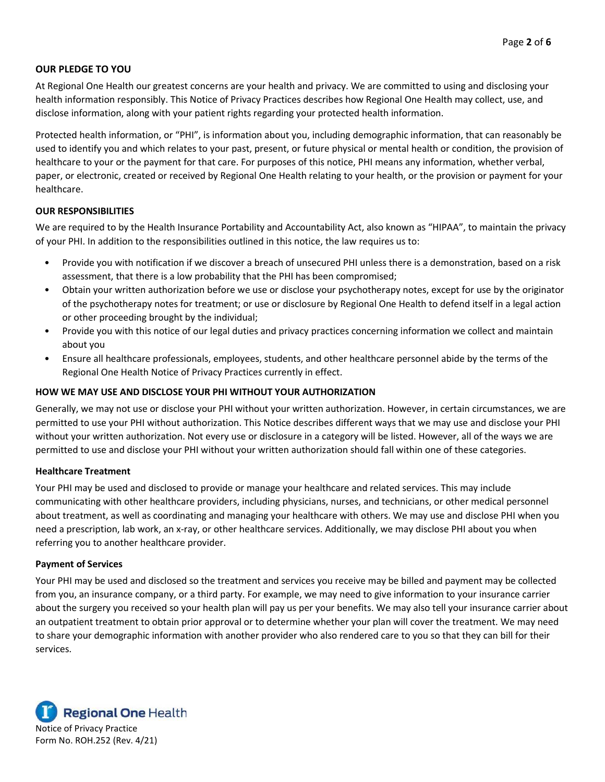### **OUR PLEDGE TO YOU**

At Regional One Health our greatest concerns are your health and privacy. We are committed to using and disclosing your health information responsibly. This Notice of Privacy Practices describes how Regional One Health may collect, use, and disclose information, along with your patient rights regarding your protected health information.

Protected health information, or "PHI", is information about you, including demographic information, that can reasonably be used to identify you and which relates to your past, present, or future physical or mental health or condition, the provision of healthcare to your or the payment for that care. For purposes of this notice, PHI means any information, whether verbal, paper, or electronic, created or received by Regional One Health relating to your health, or the provision or payment for your healthcare.

#### **OUR RESPONSIBILITIES**

We are required to by the Health Insurance Portability and Accountability Act, also known as "HIPAA", to maintain the privacy of your PHI. In addition to the responsibilities outlined in this notice, the law requires us to:

- Provide you with notification if we discover a breach of unsecured PHI unless there is a demonstration, based on a risk assessment, that there is a low probability that the PHI has been compromised;
- Obtain your written authorization before we use or disclose your psychotherapy notes, except for use by the originator of the psychotherapy notes for treatment; or use or disclosure by Regional One Health to defend itself in a legal action or other proceeding brought by the individual;
- Provide you with this notice of our legal duties and privacy practices concerning information we collect and maintain about you
- Ensure all healthcare professionals, employees, students, and other healthcare personnel abide by the terms of the Regional One Health Notice of Privacy Practices currently in effect.

## **HOW WE MAY USE AND DISCLOSE YOUR PHI WITHOUT YOUR AUTHORIZATION**

Generally, we may not use or disclose your PHI without your written authorization. However, in certain circumstances, we are permitted to use your PHI without authorization. This Notice describes different ways that we may use and disclose your PHI without your written authorization. Not every use or disclosure in a category will be listed. However, all of the ways we are permitted to use and disclose your PHI without your written authorization should fall within one of these categories.

#### **Healthcare Treatment**

Your PHI may be used and disclosed to provide or manage your healthcare and related services. This may include communicating with other healthcare providers, including physicians, nurses, and technicians, or other medical personnel about treatment, as well as coordinating and managing your healthcare with others. We may use and disclose PHI when you need a prescription, lab work, an x-ray, or other healthcare services. Additionally, we may disclose PHI about you when referring you to another healthcare provider.

#### **Payment of Services**

Your PHI may be used and disclosed so the treatment and services you receive may be billed and payment may be collected from you, an insurance company, or a third party. For example, we may need to give information to your insurance carrier about the surgery you received so your health plan will pay us per your benefits. We may also tell your insurance carrier about an outpatient treatment to obtain prior approval or to determine whether your plan will cover the treatment. We may need to share your demographic information with another provider who also rendered care to you so that they can bill for their services.

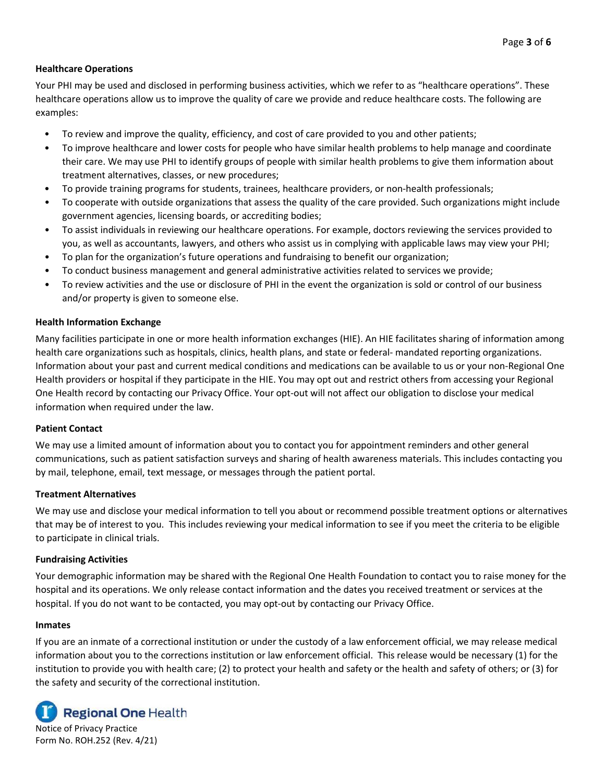## **Healthcare Operations**

Your PHI may be used and disclosed in performing business activities, which we refer to as "healthcare operations". These healthcare operations allow us to improve the quality of care we provide and reduce healthcare costs. The following are examples:

- To review and improve the quality, efficiency, and cost of care provided to you and other patients;
- To improve healthcare and lower costs for people who have similar health problems to help manage and coordinate their care. We may use PHI to identify groups of people with similar health problems to give them information about treatment alternatives, classes, or new procedures;
- To provide training programs for students, trainees, healthcare providers, or non-health professionals;
- To cooperate with outside organizations that assess the quality of the care provided. Such organizations might include government agencies, licensing boards, or accrediting bodies;
- To assist individuals in reviewing our healthcare operations. For example, doctors reviewing the services provided to you, as well as accountants, lawyers, and others who assist us in complying with applicable laws may view your PHI;
- To plan for the organization's future operations and fundraising to benefit our organization;
- To conduct business management and general administrative activities related to services we provide;
- To review activities and the use or disclosure of PHI in the event the organization is sold or control of our business and/or property is given to someone else.

#### **Health Information Exchange**

Many facilities participate in one or more health information exchanges (HIE). An HIE facilitates sharing of information among health care organizations such as hospitals, clinics, health plans, and state or federal- mandated reporting organizations. Information about your past and current medical conditions and medications can be available to us or your non-Regional One Health providers or hospital if they participate in the HIE. You may opt out and restrict others from accessing your Regional One Health record by contacting our Privacy Office. Your opt-out will not affect our obligation to disclose your medical information when required under the law.

#### **Patient Contact**

We may use a limited amount of information about you to contact you for appointment reminders and other general communications, such as patient satisfaction surveys and sharing of health awareness materials. This includes contacting you by mail, telephone, email, text message, or messages through the patient portal.

#### **Treatment Alternatives**

We may use and disclose your medical information to tell you about or recommend possible treatment options or alternatives that may be of interest to you. This includes reviewing your medical information to see if you meet the criteria to be eligible to participate in clinical trials.

#### **Fundraising Activities**

Your demographic information may be shared with the Regional One Health Foundation to contact you to raise money for the hospital and its operations. We only release contact information and the dates you received treatment or services at the hospital. If you do not want to be contacted, you may opt-out by contacting our Privacy Office.

#### **Inmates**

If you are an inmate of a correctional institution or under the custody of a law enforcement official, we may release medical information about you to the corrections institution or law enforcement official. This release would be necessary (1) for the institution to provide you with health care; (2) to protect your health and safety or the health and safety of others; or (3) for the safety and security of the correctional institution.



Notice of Privacy Practice Form No. ROH.252 (Rev. 4/21)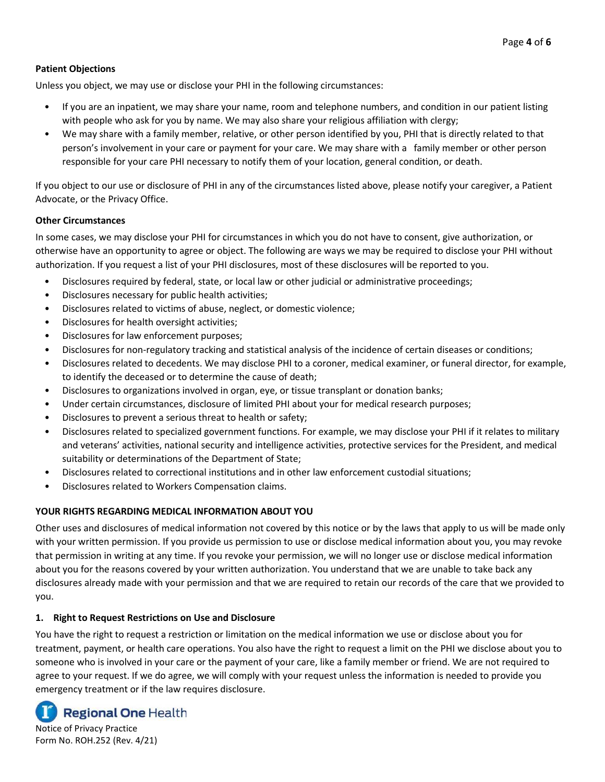## **Patient Objections**

Unless you object, we may use or disclose your PHI in the following circumstances:

- If you are an inpatient, we may share your name, room and telephone numbers, and condition in our patient listing with people who ask for you by name. We may also share your religious affiliation with clergy;
- We may share with a family member, relative, or other person identified by you, PHI that is directly related to that person's involvement in your care or payment for your care. We may share with a family member or other person responsible for your care PHI necessary to notify them of your location, general condition, or death.

If you object to our use or disclosure of PHI in any of the circumstances listed above, please notify your caregiver, a Patient Advocate, or the Privacy Office.

#### **Other Circumstances**

In some cases, we may disclose your PHI for circumstances in which you do not have to consent, give authorization, or otherwise have an opportunity to agree or object. The following are ways we may be required to disclose your PHI without authorization. If you request a list of your PHI disclosures, most of these disclosures will be reported to you.

- Disclosures required by federal, state, or local law or other judicial or administrative proceedings;
- Disclosures necessary for public health activities;
- Disclosures related to victims of abuse, neglect, or domestic violence;
- Disclosures for health oversight activities;
- Disclosures for law enforcement purposes;
- Disclosures for non-regulatory tracking and statistical analysis of the incidence of certain diseases or conditions;
- Disclosures related to decedents. We may disclose PHI to a coroner, medical examiner, or funeral director, for example, to identify the deceased or to determine the cause of death;
- Disclosures to organizations involved in organ, eye, or tissue transplant or donation banks;
- Under certain circumstances, disclosure of limited PHI about your for medical research purposes;
- Disclosures to prevent a serious threat to health or safety;
- Disclosures related to specialized government functions. For example, we may disclose your PHI if it relates to military and veterans' activities, national security and intelligence activities, protective services for the President, and medical suitability or determinations of the Department of State;
- Disclosures related to correctional institutions and in other law enforcement custodial situations;
- Disclosures related to Workers Compensation claims.

## **YOUR RIGHTS REGARDING MEDICAL INFORMATION ABOUT YOU**

Other uses and disclosures of medical information not covered by this notice or by the laws that apply to us will be made only with your written permission. If you provide us permission to use or disclose medical information about you, you may revoke that permission in writing at any time. If you revoke your permission, we will no longer use or disclose medical information about you for the reasons covered by your written authorization. You understand that we are unable to take back any disclosures already made with your permission and that we are required to retain our records of the care that we provided to you.

## **1. Right to Request Restrictions on Use and Disclosure**

You have the right to request a restriction or limitation on the medical information we use or disclose about you for treatment, payment, or health care operations. You also have the right to request a limit on the PHI we disclose about you to someone who is involved in your care or the payment of your care, like a family member or friend. We are not required to agree to your request. If we do agree, we will comply with your request unless the information is needed to provide you emergency treatment or if the law requires disclosure.

**Regional One Health** 

Notice of Privacy Practice Form No. ROH.252 (Rev. 4/21)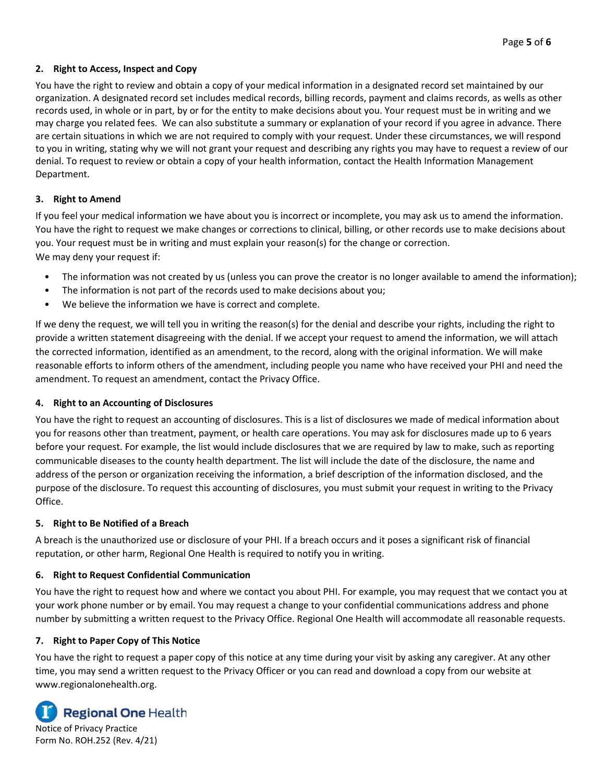## **2. Right to Access, Inspect and Copy**

You have the right to review and obtain a copy of your medical information in a designated record set maintained by our organization. A designated record set includes medical records, billing records, payment and claims records, as wells as other records used, in whole or in part, by or for the entity to make decisions about you. Your request must be in writing and we may charge you related fees. We can also substitute a summary or explanation of your record if you agree in advance. There are certain situations in which we are not required to comply with your request. Under these circumstances, we will respond to you in writing, stating why we will not grant your request and describing any rights you may have to request a review of our denial. To request to review or obtain a copy of your health information, contact the Health Information Management Department.

## **3. Right to Amend**

If you feel your medical information we have about you is incorrect or incomplete, you may ask us to amend the information. You have the right to request we make changes or corrections to clinical, billing, or other records use to make decisions about you. Your request must be in writing and must explain your reason(s) for the change or correction. We may deny your request if:

- The information was not created by us (unless you can prove the creator is no longer available to amend the information);
- The information is not part of the records used to make decisions about you;
- We believe the information we have is correct and complete.

If we deny the request, we will tell you in writing the reason(s) for the denial and describe your rights, including the right to provide a written statement disagreeing with the denial. If we accept your request to amend the information, we will attach the corrected information, identified as an amendment, to the record, along with the original information. We will make reasonable efforts to inform others of the amendment, including people you name who have received your PHI and need the amendment. To request an amendment, contact the Privacy Office.

## **4. Right to an Accounting of Disclosures**

You have the right to request an accounting of disclosures. This is a list of disclosures we made of medical information about you for reasons other than treatment, payment, or health care operations. You may ask for disclosures made up to 6 years before your request. For example, the list would include disclosures that we are required by law to make, such as reporting communicable diseases to the county health department. The list will include the date of the disclosure, the name and address of the person or organization receiving the information, a brief description of the information disclosed, and the purpose of the disclosure. To request this accounting of disclosures, you must submit your request in writing to the Privacy Office.

## **5. Right to Be Notified of a Breach**

A breach is the unauthorized use or disclosure of your PHI. If a breach occurs and it poses a significant risk of financial reputation, or other harm, Regional One Health is required to notify you in writing.

## **6. Right to Request Confidential Communication**

You have the right to request how and where we contact you about PHI. For example, you may request that we contact you at your work phone number or by email. You may request a change to your confidential communications address and phone number by submitting a written request to the Privacy Office. Regional One Health will accommodate all reasonable requests.

## **7. Right to Paper Copy of This Notice**

You have the right to request a paper copy of this notice at any time during your visit by asking any caregiver. At any other time, you may send a written request to the Privacy Officer or you can read and download a copy from our website at www.regionalonehealth.org.



Notice of Privacy Practice Form No. ROH.252 (Rev. 4/21)